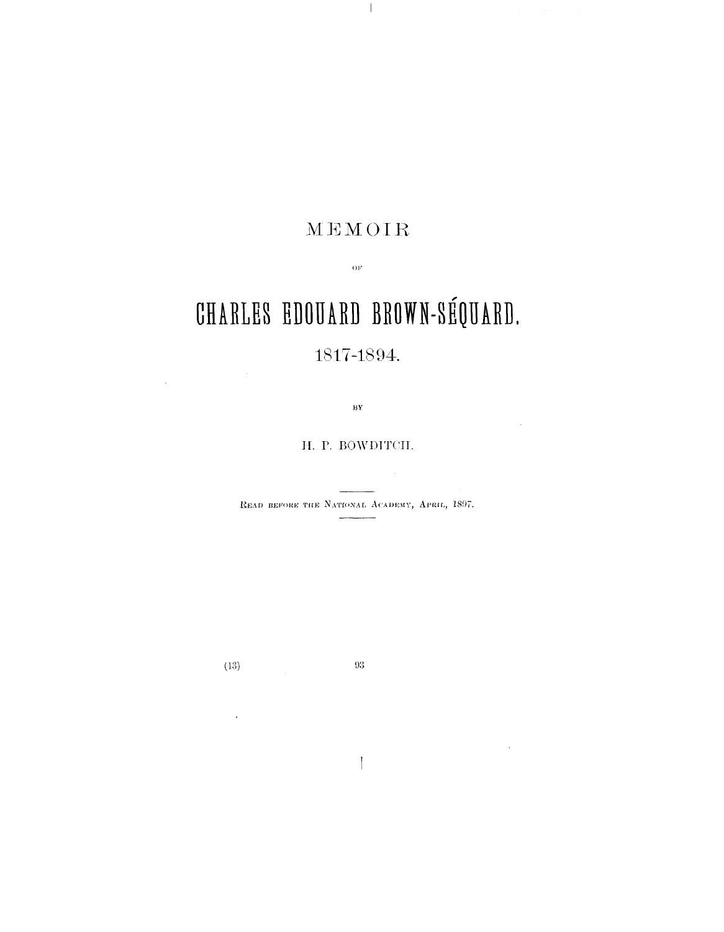## MEMOIR

 $\alpha_F$ 

# **CHARLES EDOUARD BROWN-SEQUARD.** 1817-1894.

 $\overline{\mathbf{B}}\mathbf{Y}$ 

#### H. P. BOWDTTCII.

READ BEFORE THE NATIONAL ACADEMY, APRIL, 1897.

**(13)**

 $\mathcal{A}$ 

 $\mathbb{Z}_2$ 

 $\bar{z}$ 

 $93\,$ 

 $\mathbf{I}$ 

 $\sim$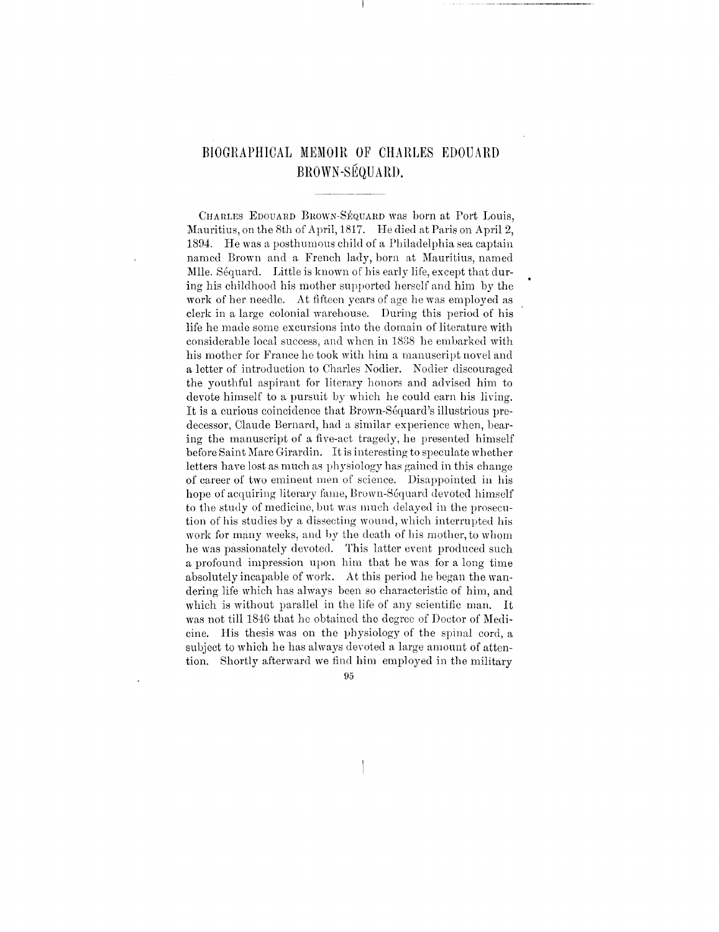### BIOGRAPHICAL MEMOIR OF CHARLES EDOUARD BROWN-SEQUARD.

CHARLES EDOUAED BROWN-SEQUARD was born at Port Louis, Mauritius, on the 8th of April, 1817. He died at Paris on April 2, 1894. He was a posthumous child of a Philadelphia sea captain named Brown and a French lady, born at Mauritius, named Mile. Séquard. Little is known of his early life, except that during his childhood his mother supported herself and him by the work of her needle. At fifteen years of age he was employed as clerk in a large colonial warehouse. During this period of his life he made some excursions into the domain of literature with considerable local success, and when in 1838 he embarked with his mother for France he took with him a manuscript novel and a letter of introduction to Charles Nodier. Nodier discouraged the youthful aspirant for literary honors and advised him to devote himself to a pursuit by which he could earn his living. It is a curious coincidence that Brown-Sequard's illustrious predecessor, Claude Bernard, had a similar experience when, bearing the manuscript of a five-act tragedy, he presented himself before Saint Marc Girardin. It is interesting to speculate whether letters have lost as much as physiology has gained in this change of career of two eminent men of science. Disappointed in his hope of acquiring literary fame, Brown-Séquard devoted himself to the study of medicine, but was much delayed in the prosecution of his studies by a dissecting wound, which interrupted his work for many weeks, and by the death of his mother, to whom he was passionately devoted. This latter event produced such a profound impression upon him that he was for a long time absolutely incapable of work. At this period he began the wandering life which has always been so characteristic of him, and which is without parallel in the life of any scientific man. It was not till 1846 that he obtained the degree of Doctor of Medicine. His thesis was on the physiology of the spinal cord, a subject to which he has always devoted a large amount of attention. Shortly afterward we find him employed in the military

95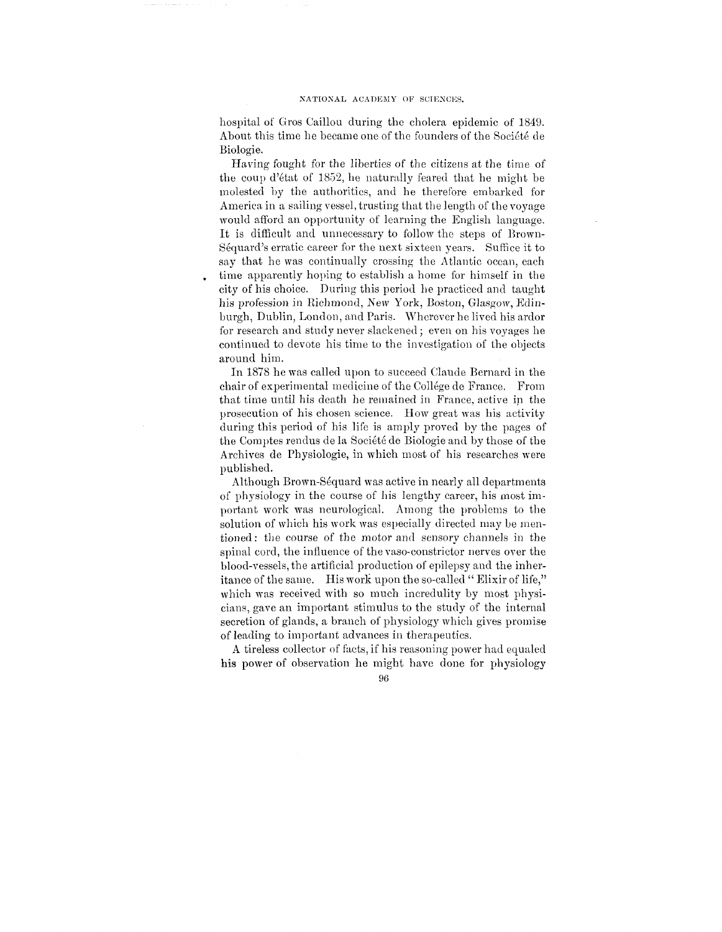hospital of Gros Oaillou during the cholera epidemic of 1849. About this time he became one of the founders of the Société de Biologie.

Having fought for the liberties of the citizens at the time of the coup d'etat of 1852, he naturally feared that he might be molested by the authorities, and he therefore embarked for America in a sailing vessel, trusting that the length of the voyage would afford an opportunity of learning the English language. It is difficult and unnecessary to follow the steps of Brown-Sequard's erratic career for the next sixteen years. Suffice it to say that he was continually crossing the Atlantic ocean, each time apparently hoping to establish a home for himself in the city of his choice. During this period he practiced and taught his profession in Richmond, New York, Boston, Glasgow, Edinburgh, Dublin, London, and Paris. Wherever he lived his ardor for research and study never slackened ; even on his voyages he continued to devote his time to the investigation of the objects around him.

In 1878 he was called upon to succeed Claude Bernard in the chair of experimental medicine of the College de France. From that time until his death he remained in France, active in the prosecution of his chosen science. How great was his activity during this period of his life is amply proved by the pages of the Comptes rendus de la Societe de Biologie and by those of the Archives de Physiologie, in which most of his researches were published.

Although Brown-Sequard was active in nearly all departments of physiology in the course of his lengthy career, his most important work was neurological. Among the problems to the solution of which his work was especially directed may be mentioned : the course of the motor and sensory channels in the spinal cord, the influence of the vaso-constrictor nerves over the blood-vessels, the artificial production of epilepsy and the inheritance of the same. His work upon the so-called " Elixir of life," which was received with so much incredulity by most physicians, gave an important stimulus to the study of the internal secretion of glands, a branch of physiology which gives promise of leading to important advances in therapeutics.

A tireless collector of facts, if his reasoning power had equaled his power of observation he might have done for physiology